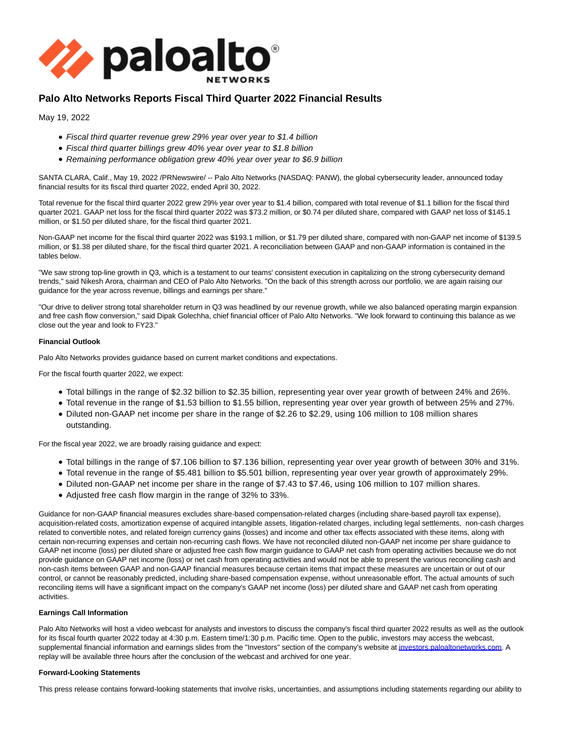

# **Palo Alto Networks Reports Fiscal Third Quarter 2022 Financial Results**

May 19, 2022

- Fiscal third quarter revenue grew 29% year over year to \$1.4 billion
- Fiscal third quarter billings grew 40% year over year to \$1.8 billion
- Remaining performance obligation grew 40% year over year to \$6.9 billion

SANTA CLARA, Calif., May 19, 2022 /PRNewswire/ -- Palo Alto Networks (NASDAQ: PANW), the global cybersecurity leader, announced today financial results for its fiscal third quarter 2022, ended April 30, 2022.

Total revenue for the fiscal third quarter 2022 grew 29% year over year to \$1.4 billion, compared with total revenue of \$1.1 billion for the fiscal third quarter 2021. GAAP net loss for the fiscal third quarter 2022 was \$73.2 million, or \$0.74 per diluted share, compared with GAAP net loss of \$145.1 million, or \$1.50 per diluted share, for the fiscal third quarter 2021.

Non-GAAP net income for the fiscal third quarter 2022 was \$193.1 million, or \$1.79 per diluted share, compared with non-GAAP net income of \$139.5 million, or \$1.38 per diluted share, for the fiscal third quarter 2021. A reconciliation between GAAP and non-GAAP information is contained in the tables below.

"We saw strong top-line growth in Q3, which is a testament to our teams' consistent execution in capitalizing on the strong cybersecurity demand trends," said Nikesh Arora, chairman and CEO of Palo Alto Networks. "On the back of this strength across our portfolio, we are again raising our guidance for the year across revenue, billings and earnings per share."

"Our drive to deliver strong total shareholder return in Q3 was headlined by our revenue growth, while we also balanced operating margin expansion and free cash flow conversion," said Dipak Golechha, chief financial officer of Palo Alto Networks. "We look forward to continuing this balance as we close out the year and look to FY23."

# **Financial Outlook**

Palo Alto Networks provides guidance based on current market conditions and expectations.

For the fiscal fourth quarter 2022, we expect:

- Total billings in the range of \$2.32 billion to \$2.35 billion, representing year over year growth of between 24% and 26%.
- Total revenue in the range of \$1.53 billion to \$1.55 billion, representing year over year growth of between 25% and 27%.
- Diluted non-GAAP net income per share in the range of \$2.26 to \$2.29, using 106 million to 108 million shares outstanding.

For the fiscal year 2022, we are broadly raising guidance and expect:

- Total billings in the range of \$7.106 billion to \$7.136 billion, representing year over year growth of between 30% and 31%.
- Total revenue in the range of \$5.481 billion to \$5.501 billion, representing year over year growth of approximately 29%.
- Diluted non-GAAP net income per share in the range of \$7.43 to \$7.46, using 106 million to 107 million shares.
- Adjusted free cash flow margin in the range of 32% to 33%.

Guidance for non-GAAP financial measures excludes share-based compensation-related charges (including share-based payroll tax expense), acquisition-related costs, amortization expense of acquired intangible assets, litigation-related charges, including legal settlements, non-cash charges related to convertible notes, and related foreign currency gains (losses) and income and other tax effects associated with these items, along with certain non-recurring expenses and certain non-recurring cash flows. We have not reconciled diluted non-GAAP net income per share guidance to GAAP net income (loss) per diluted share or adjusted free cash flow margin guidance to GAAP net cash from operating activities because we do not provide guidance on GAAP net income (loss) or net cash from operating activities and would not be able to present the various reconciling cash and non-cash items between GAAP and non-GAAP financial measures because certain items that impact these measures are uncertain or out of our control, or cannot be reasonably predicted, including share-based compensation expense, without unreasonable effort. The actual amounts of such reconciling items will have a significant impact on the company's GAAP net income (loss) per diluted share and GAAP net cash from operating activities.

# **Earnings Call Information**

Palo Alto Networks will host a video webcast for analysts and investors to discuss the company's fiscal third quarter 2022 results as well as the outlook for its fiscal fourth quarter 2022 today at 4:30 p.m. Eastern time/1:30 p.m. Pacific time. Open to the public, investors may access the webcast, supplemental financial information and earnings slides from the "Investors" section of the company's website a[t investors.paloaltonetworks.com.](https://c212.net/c/link/?t=0&l=en&o=3542617-1&h=1443690495&u=https%3A%2F%2Finvestors.paloaltonetworks.com%2F&a=investors.paloaltonetworks.com) A replay will be available three hours after the conclusion of the webcast and archived for one year.

# **Forward-Looking Statements**

This press release contains forward-looking statements that involve risks, uncertainties, and assumptions including statements regarding our ability to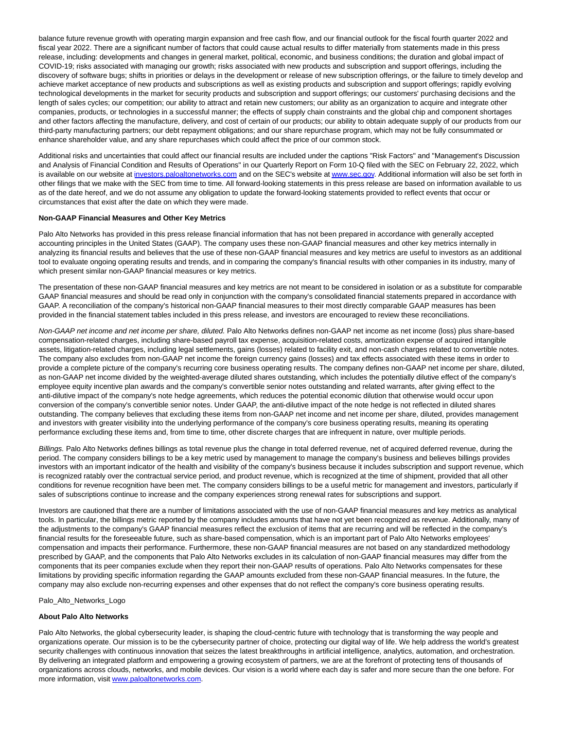balance future revenue growth with operating margin expansion and free cash flow, and our financial outlook for the fiscal fourth quarter 2022 and fiscal year 2022. There are a significant number of factors that could cause actual results to differ materially from statements made in this press release, including: developments and changes in general market, political, economic, and business conditions; the duration and global impact of COVID-19; risks associated with managing our growth; risks associated with new products and subscription and support offerings, including the discovery of software bugs; shifts in priorities or delays in the development or release of new subscription offerings, or the failure to timely develop and achieve market acceptance of new products and subscriptions as well as existing products and subscription and support offerings; rapidly evolving technological developments in the market for security products and subscription and support offerings; our customers' purchasing decisions and the length of sales cycles; our competition; our ability to attract and retain new customers; our ability as an organization to acquire and integrate other companies, products, or technologies in a successful manner; the effects of supply chain constraints and the global chip and component shortages and other factors affecting the manufacture, delivery, and cost of certain of our products; our ability to obtain adequate supply of our products from our third-party manufacturing partners; our debt repayment obligations; and our share repurchase program, which may not be fully consummated or enhance shareholder value, and any share repurchases which could affect the price of our common stock.

Additional risks and uncertainties that could affect our financial results are included under the captions "Risk Factors" and "Management's Discussion and Analysis of Financial Condition and Results of Operations" in our Quarterly Report on Form 10-Q filed with the SEC on February 22, 2022, which is available on our website at [investors.paloaltonetworks.com a](https://c212.net/c/link/?t=0&l=en&o=3542617-1&h=3596816271&u=http%3A%2F%2Finvestors.paloaltonetworks.com%2F&a=investors.paloaltonetworks.com)nd on the SEC's website a[t www.sec.gov.](https://c212.net/c/link/?t=0&l=en&o=3542617-1&h=3790497356&u=http%3A%2F%2Fwww.sec.gov%2F&a=www.sec.gov) Additional information will also be set forth in other filings that we make with the SEC from time to time. All forward-looking statements in this press release are based on information available to us as of the date hereof, and we do not assume any obligation to update the forward-looking statements provided to reflect events that occur or circumstances that exist after the date on which they were made.

## **Non-GAAP Financial Measures and Other Key Metrics**

Palo Alto Networks has provided in this press release financial information that has not been prepared in accordance with generally accepted accounting principles in the United States (GAAP). The company uses these non-GAAP financial measures and other key metrics internally in analyzing its financial results and believes that the use of these non-GAAP financial measures and key metrics are useful to investors as an additional tool to evaluate ongoing operating results and trends, and in comparing the company's financial results with other companies in its industry, many of which present similar non-GAAP financial measures or key metrics.

The presentation of these non-GAAP financial measures and key metrics are not meant to be considered in isolation or as a substitute for comparable GAAP financial measures and should be read only in conjunction with the company's consolidated financial statements prepared in accordance with GAAP. A reconciliation of the company's historical non-GAAP financial measures to their most directly comparable GAAP measures has been provided in the financial statement tables included in this press release, and investors are encouraged to review these reconciliations.

Non-GAAP net income and net income per share, diluted. Palo Alto Networks defines non-GAAP net income as net income (loss) plus share-based compensation-related charges, including share-based payroll tax expense, acquisition-related costs, amortization expense of acquired intangible assets, litigation-related charges, including legal settlements, gains (losses) related to facility exit, and non-cash charges related to convertible notes. The company also excludes from non-GAAP net income the foreign currency gains (losses) and tax effects associated with these items in order to provide a complete picture of the company's recurring core business operating results. The company defines non-GAAP net income per share, diluted, as non-GAAP net income divided by the weighted-average diluted shares outstanding, which includes the potentially dilutive effect of the company's employee equity incentive plan awards and the company's convertible senior notes outstanding and related warrants, after giving effect to the anti-dilutive impact of the company's note hedge agreements, which reduces the potential economic dilution that otherwise would occur upon conversion of the company's convertible senior notes. Under GAAP, the anti-dilutive impact of the note hedge is not reflected in diluted shares outstanding. The company believes that excluding these items from non-GAAP net income and net income per share, diluted, provides management and investors with greater visibility into the underlying performance of the company's core business operating results, meaning its operating performance excluding these items and, from time to time, other discrete charges that are infrequent in nature, over multiple periods.

Billings. Palo Alto Networks defines billings as total revenue plus the change in total deferred revenue, net of acquired deferred revenue, during the period. The company considers billings to be a key metric used by management to manage the company's business and believes billings provides investors with an important indicator of the health and visibility of the company's business because it includes subscription and support revenue, which is recognized ratably over the contractual service period, and product revenue, which is recognized at the time of shipment, provided that all other conditions for revenue recognition have been met. The company considers billings to be a useful metric for management and investors, particularly if sales of subscriptions continue to increase and the company experiences strong renewal rates for subscriptions and support.

Investors are cautioned that there are a number of limitations associated with the use of non-GAAP financial measures and key metrics as analytical tools. In particular, the billings metric reported by the company includes amounts that have not yet been recognized as revenue. Additionally, many of the adjustments to the company's GAAP financial measures reflect the exclusion of items that are recurring and will be reflected in the company's financial results for the foreseeable future, such as share-based compensation, which is an important part of Palo Alto Networks employees' compensation and impacts their performance. Furthermore, these non-GAAP financial measures are not based on any standardized methodology prescribed by GAAP, and the components that Palo Alto Networks excludes in its calculation of non-GAAP financial measures may differ from the components that its peer companies exclude when they report their non-GAAP results of operations. Palo Alto Networks compensates for these limitations by providing specific information regarding the GAAP amounts excluded from these non-GAAP financial measures. In the future, the company may also exclude non-recurring expenses and other expenses that do not reflect the company's core business operating results.

Palo\_Alto\_Networks\_Logo

#### **About Palo Alto Networks**

Palo Alto Networks, the global cybersecurity leader, is shaping the cloud-centric future with technology that is transforming the way people and organizations operate. Our mission is to be the cybersecurity partner of choice, protecting our digital way of life. We help address the world's greatest security challenges with continuous innovation that seizes the latest breakthroughs in artificial intelligence, analytics, automation, and orchestration. By delivering an integrated platform and empowering a growing ecosystem of partners, we are at the forefront of protecting tens of thousands of organizations across clouds, networks, and mobile devices. Our vision is a world where each day is safer and more secure than the one before. For more information, visit [www.paloaltonetworks.com.](https://c212.net/c/link/?t=0&l=en&o=3542617-1&h=2320052271&u=http%3A%2F%2Fwww.paloaltonetworks.com%2F&a=www.paloaltonetworks.com)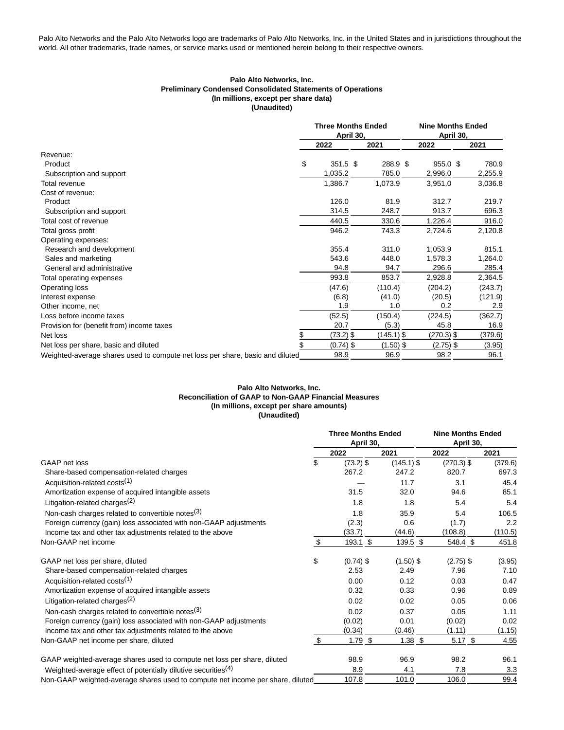Palo Alto Networks and the Palo Alto Networks logo are trademarks of Palo Alto Networks, Inc. in the United States and in jurisdictions throughout the world. All other trademarks, trade names, or service marks used or mentioned herein belong to their respective owners.

## **Palo Alto Networks, Inc. Preliminary Condensed Consolidated Statements of Operations (In millions, except per share data) (Unaudited)**

|                                                                               | <b>Three Months Ended</b><br>April 30, |             |             | <b>Nine Months Ended</b><br>April 30, |             |         |
|-------------------------------------------------------------------------------|----------------------------------------|-------------|-------------|---------------------------------------|-------------|---------|
|                                                                               |                                        | 2022        | 2021        |                                       | 2022        | 2021    |
| Revenue:                                                                      |                                        |             |             |                                       |             |         |
| Product                                                                       | \$                                     | 351.5 \$    | 288.9 \$    |                                       | 955.0 \$    | 780.9   |
| Subscription and support                                                      |                                        | 1,035.2     | 785.0       |                                       | 2,996.0     | 2,255.9 |
| Total revenue                                                                 |                                        | 1,386.7     | 1,073.9     |                                       | 3,951.0     | 3,036.8 |
| Cost of revenue:                                                              |                                        |             |             |                                       |             |         |
| Product                                                                       |                                        | 126.0       | 81.9        |                                       | 312.7       | 219.7   |
| Subscription and support                                                      |                                        | 314.5       | 248.7       |                                       | 913.7       | 696.3   |
| Total cost of revenue                                                         |                                        | 440.5       | 330.6       |                                       | 1,226.4     | 916.0   |
| Total gross profit                                                            |                                        | 946.2       | 743.3       |                                       | 2,724.6     | 2,120.8 |
| Operating expenses:                                                           |                                        |             |             |                                       |             |         |
| Research and development                                                      |                                        | 355.4       | 311.0       |                                       | 1,053.9     | 815.1   |
| Sales and marketing                                                           |                                        | 543.6       | 448.0       |                                       | 1,578.3     | 1,264.0 |
| General and administrative                                                    |                                        | 94.8        | 94.7        |                                       | 296.6       | 285.4   |
| Total operating expenses                                                      |                                        | 993.8       | 853.7       |                                       | 2,928.8     | 2,364.5 |
| Operating loss                                                                |                                        | (47.6)      | (110.4)     |                                       | (204.2)     | (243.7) |
| Interest expense                                                              |                                        | (6.8)       | (41.0)      |                                       | (20.5)      | (121.9) |
| Other income, net                                                             |                                        | 1.9         | 1.0         |                                       | 0.2         | 2.9     |
| Loss before income taxes                                                      |                                        | (52.5)      | (150.4)     |                                       | (224.5)     | (362.7) |
| Provision for (benefit from) income taxes                                     |                                        | 20.7        | (5.3)       |                                       | 45.8        | 16.9    |
| Net loss                                                                      | \$                                     | $(73.2)$ \$ | (145.1) \$  |                                       | (270.3) \$  | (379.6) |
| Net loss per share, basic and diluted                                         | \$                                     | $(0.74)$ \$ | $(1.50)$ \$ |                                       | $(2.75)$ \$ | (3.95)  |
| Weighted-average shares used to compute net loss per share, basic and diluted |                                        | 98.9        | 96.9        |                                       | 98.2        | 96.1    |

# **Palo Alto Networks, Inc. Reconciliation of GAAP to Non-GAAP Financial Measures (In millions, except per share amounts) (Unaudited)**

|                                                                                | <b>Three Months Ended</b><br>April 30, |              | <b>Nine Months Ended</b><br>April 30, |         |
|--------------------------------------------------------------------------------|----------------------------------------|--------------|---------------------------------------|---------|
|                                                                                | 2022                                   | 2021         | 2022                                  | 2021    |
| GAAP net loss                                                                  | \$<br>$(73.2)$ \$                      | $(145.1)$ \$ | $(270.3)$ \$                          | (379.6) |
| Share-based compensation-related charges                                       | 267.2                                  | 247.2        | 820.7                                 | 697.3   |
| Acquisition-related costs <sup>(1)</sup>                                       |                                        | 11.7         | 3.1                                   | 45.4    |
| Amortization expense of acquired intangible assets                             | 31.5                                   | 32.0         | 94.6                                  | 85.1    |
| Litigation-related charges <sup>(2)</sup>                                      | 1.8                                    | 1.8          | 5.4                                   | 5.4     |
| Non-cash charges related to convertible notes <sup>(3)</sup>                   | 1.8                                    | 35.9         | 5.4                                   | 106.5   |
| Foreign currency (gain) loss associated with non-GAAP adjustments              | (2.3)                                  | 0.6          | (1.7)                                 | 2.2     |
| Income tax and other tax adjustments related to the above                      | (33.7)                                 | (44.6)       | (108.8)                               | (110.5) |
| Non-GAAP net income                                                            | \$<br>$193.1$ \$                       | 139.5 \$     | 548.4 \$                              | 451.8   |
| GAAP net loss per share, diluted                                               | \$<br>$(0.74)$ \$                      | $(1.50)$ \$  | $(2.75)$ \$                           | (3.95)  |
| Share-based compensation-related charges                                       | 2.53                                   | 2.49         | 7.96                                  | 7.10    |
| Acquisition-related costs <sup>(1)</sup>                                       | 0.00                                   | 0.12         | 0.03                                  | 0.47    |
| Amortization expense of acquired intangible assets                             | 0.32                                   | 0.33         | 0.96                                  | 0.89    |
| Litigation-related charges <sup>(2)</sup>                                      | 0.02                                   | 0.02         | 0.05                                  | 0.06    |
| Non-cash charges related to convertible notes $(3)$                            | 0.02                                   | 0.37         | 0.05                                  | 1.11    |
| Foreign currency (gain) loss associated with non-GAAP adjustments              | (0.02)                                 | 0.01         | (0.02)                                | 0.02    |
| Income tax and other tax adjustments related to the above                      | (0.34)                                 | (0.46)       | (1.11)                                | (1.15)  |
| Non-GAAP net income per share, diluted                                         | \$<br>$1.79$ \$                        | $1.38$ \$    | $5.17$ \$                             | 4.55    |
| GAAP weighted-average shares used to compute net loss per share, diluted       | 98.9                                   | 96.9         | 98.2                                  | 96.1    |
| Weighted-average effect of potentially dilutive securities <sup>(4)</sup>      | 8.9                                    | 4.1          | 7.8                                   | 3.3     |
| Non-GAAP weighted-average shares used to compute net income per share, diluted | 107.8                                  | 101.0        | 106.0                                 | 99.4    |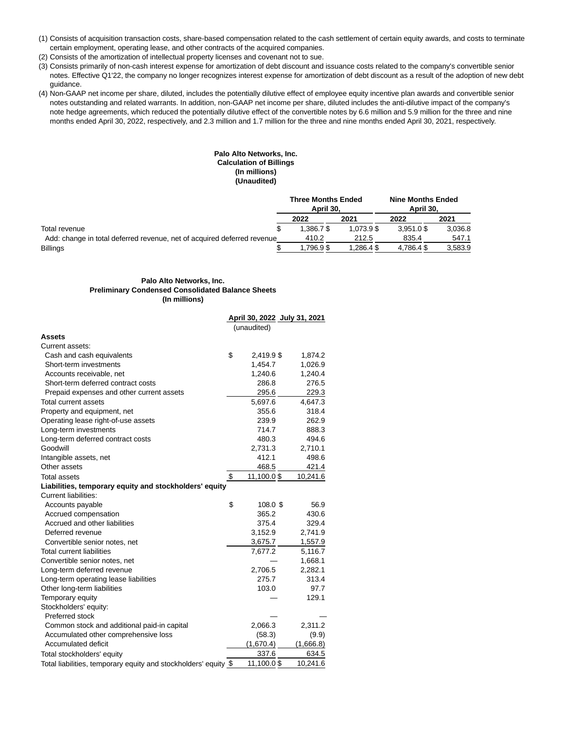- (1) Consists of acquisition transaction costs, share-based compensation related to the cash settlement of certain equity awards, and costs to terminate certain employment, operating lease, and other contracts of the acquired companies.
- (2) Consists of the amortization of intellectual property licenses and covenant not to sue.
- (3) Consists primarily of non-cash interest expense for amortization of debt discount and issuance costs related to the company's convertible senior notes. Effective Q1'22, the company no longer recognizes interest expense for amortization of debt discount as a result of the adoption of new debt guidance.
- (4) Non-GAAP net income per share, diluted, includes the potentially dilutive effect of employee equity incentive plan awards and convertible senior notes outstanding and related warrants. In addition, non-GAAP net income per share, diluted includes the anti-dilutive impact of the company's note hedge agreements, which reduced the potentially dilutive effect of the convertible notes by 6.6 million and 5.9 million for the three and nine months ended April 30, 2022, respectively, and 2.3 million and 1.7 million for the three and nine months ended April 30, 2021, respectively.

# **Palo Alto Networks, Inc. Calculation of Billings (In millions) (Unaudited)**

|                                                                         | <b>Three Months Ended</b><br>April 30. |            | <b>Nine Months Ended</b><br>April 30. |         |
|-------------------------------------------------------------------------|----------------------------------------|------------|---------------------------------------|---------|
|                                                                         | 2022                                   | 2021       | 2022                                  | 2021    |
| Total revenue                                                           | 1.386.7\$                              | 1.073.9 \$ | $3.951.0$ \$                          | 3,036.8 |
| Add: change in total deferred revenue, net of acquired deferred revenue | 410.2                                  | 212.5      | 835.4                                 | 547.1   |
| <b>Billings</b>                                                         | .796.9\$                               | 1.286.4\$  | 4.786.4\$                             | 3.583.9 |

## **Palo Alto Networks, Inc. Preliminary Condensed Consolidated Balance Sheets (In millions)**

|                                                                 |                  | April 30, 2022 July 31, 2021 |  |
|-----------------------------------------------------------------|------------------|------------------------------|--|
|                                                                 | (unaudited)      |                              |  |
| Assets                                                          |                  |                              |  |
| Current assets:                                                 |                  |                              |  |
| Cash and cash equivalents                                       | \$<br>2,419.9 \$ | 1,874.2                      |  |
| Short-term investments                                          | 1,454.7          | 1,026.9                      |  |
| Accounts receivable, net                                        | 1,240.6          | 1,240.4                      |  |
| Short-term deferred contract costs                              | 286.8            | 276.5                        |  |
| Prepaid expenses and other current assets                       | 295.6            | 229.3                        |  |
| <b>Total current assets</b>                                     | 5,697.6          | 4,647.3                      |  |
| Property and equipment, net                                     | 355.6            | 318.4                        |  |
| Operating lease right-of-use assets                             | 239.9            | 262.9                        |  |
| Long-term investments                                           | 714.7            | 888.3                        |  |
| Long-term deferred contract costs                               | 480.3            | 494.6                        |  |
| Goodwill                                                        | 2,731.3          | 2,710.1                      |  |
| Intangible assets, net                                          | 412.1            | 498.6                        |  |
| Other assets                                                    | 468.5            | 421.4                        |  |
| <b>Total assets</b>                                             | \$<br>11,100.0\$ | 10,241.6                     |  |
| Liabilities, temporary equity and stockholders' equity          |                  |                              |  |
| <b>Current liabilities:</b>                                     |                  |                              |  |
| Accounts payable                                                | \$<br>108.0 \$   | 56.9                         |  |
| Accrued compensation                                            | 365.2            | 430.6                        |  |
| Accrued and other liabilities                                   | 375.4            | 329.4                        |  |
| Deferred revenue                                                | 3,152.9          | 2,741.9                      |  |
| Convertible senior notes, net                                   | 3,675.7          | 1,557.9                      |  |
| <b>Total current liabilities</b>                                | 7,677.2          | 5,116.7                      |  |
| Convertible senior notes, net                                   |                  | 1,668.1                      |  |
| Long-term deferred revenue                                      | 2,706.5          | 2,282.1                      |  |
| Long-term operating lease liabilities                           | 275.7            | 313.4                        |  |
| Other long-term liabilities                                     | 103.0            | 97.7                         |  |
| Temporary equity                                                |                  | 129.1                        |  |
| Stockholders' equity:                                           |                  |                              |  |
| Preferred stock                                                 |                  |                              |  |
| Common stock and additional paid-in capital                     | 2,066.3          | 2,311.2                      |  |
| Accumulated other comprehensive loss                            | (58.3)           | (9.9)                        |  |
| Accumulated deficit                                             | (1,670.4)        | (1,666.8)                    |  |
| Total stockholders' equity                                      | 337.6            | 634.5                        |  |
| Total liabilities, temporary equity and stockholders' equity \$ | 11,100.0\$       | 10.241.6                     |  |